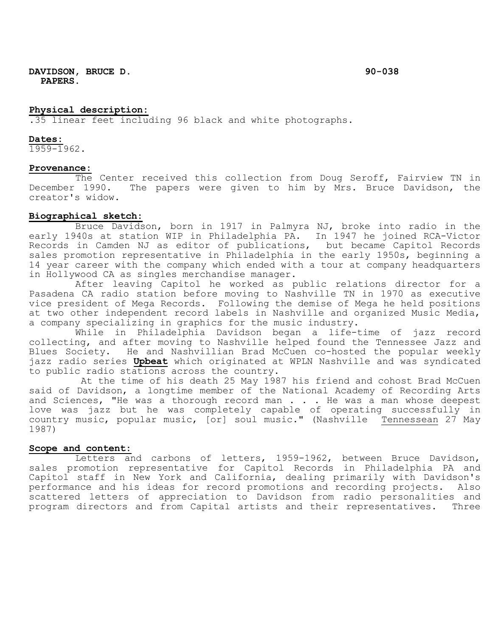## **Physical description:**

.35 linear feet including 96 black and white photographs.

#### **Dates:**

1959-1962.

### **Provenance:**

The Center received this collection from Doug Seroff, Fairview TN in<br>December 1990. The papers were given to him by Mrs. Bruce Davidson, the The papers were given to him by Mrs. Bruce Davidson, the creator's widow.

## **Biographical sketch:**

Bruce Davidson, born in 1917 in Palmyra NJ, broke into radio in the early 1940s at station WIP in Philadelphia PA. In 1947 he joined RCA-Victor Records in Camden NJ as editor of publications, but became Capitol Records sales promotion representative in Philadelphia in the early 1950s, beginning a 14 year career with the company which ended with a tour at company headquarters in Hollywood CA as singles merchandise manager.

After leaving Capitol he worked as public relations director for a Pasadena CA radio station before moving to Nashville TN in 1970 as executive vice president of Mega Records. Following the demise of Mega he held positions at two other independent record labels in Nashville and organized Music Media, a company specializing in graphics for the music industry.

While in Philadelphia Davidson began a life-time of jazz record collecting, and after moving to Nashville helped found the Tennessee Jazz and Blues Society. He and Nashvillian Brad McCuen co-hosted the popular weekly jazz radio series **Upbeat** which originated at WPLN Nashville and was syndicated to public radio stations across the country.

At the time of his death 25 May 1987 his friend and cohost Brad McCuen said of Davidson, a longtime member of the National Academy of Recording Arts and Sciences, "He was a thorough record man . . . He was a man whose deepest love was jazz but he was completely capable of operating successfully in country music, popular music, [or] soul music." (Nashville Tennessean 27 May 1987)

### **Scope and content:**

Letters and carbons of letters, 1959-1962, between Bruce Davidson, sales promotion representative for Capitol Records in Philadelphia PA and Capitol staff in New York and California, dealing primarily with Davidson's performance and his ideas for record promotions and recording projects. Also scattered letters of appreciation to Davidson from radio personalities and program directors and from Capital artists and their representatives. Three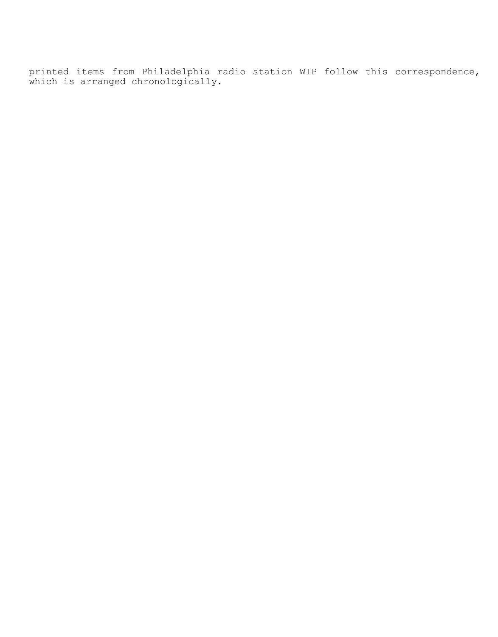printed items from Philadelphia radio station WIP follow this correspondence, which is arranged chronologically.